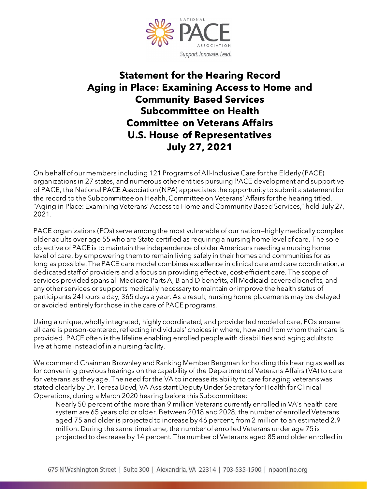

## **Statement for the Hearing Record Aging in Place: Examining Access to Home and Community Based Services Subcommittee on Health Committee on Veterans Affairs U.S. House of Representatives July 27, 2021**

On behalf of our members including 121 Programs of All-Inclusive Care for the Elderly (PACE) organizations in 27 states, and numerous other entities pursuing PACE development and supportive of PACE, the National PACE Association (NPA) appreciates the opportunity to submit a statement for the record to the Subcommittee on Health, Committee on Veterans' Affairs for the hearing titled, "Aging in Place: Examining Veterans' Access to Home and Community Based Services," held July 27, 2021.

PACE organizations (POs) serve among the most vulnerable of our nation—highly medically complex older adults over age 55 who are State certified as requiring a nursing home level of care. The sole objective of PACE is to maintain the independence of older Americans needing a nursing home level of care, by empowering them to remain living safely in their homes and communities for as long as possible. The PACE care model combines excellence in clinical care and care coordination, a dedicated staff of providers and a focus on providing effective, cost-efficient care. The scope of services provided spans all Medicare Parts A, B and D benefits, all Medicaid-covered benefits, and any other services or supports medically necessary to maintain or improve the health status of participants 24 hours a day, 365 days a year. As a result, nursing home placements may be delayed or avoided entirely for those in the care of PACE programs.

Using a unique, wholly integrated, highly coordinated, and provider led model of care, POs ensure all care is person-centered, reflecting individuals' choices in where, how and from whom their care is provided. PACE often is the lifeline enabling enrolled people with disabilities and aging adults to live at home instead of in a nursing facility.

We commend Chairman Brownley and Ranking Member Bergman for holding this hearing as well as for convening previous hearings on the capability of the Department of Veterans Affairs (VA) to care for veterans as they age. The need for the VA to increase its ability to care for aging veterans was stated clearly by Dr. Teresa Boyd, VA Assistant Deputy Under Secretary for Health for Clinical Operations, during a March 2020 hearing before this Subcommittee:

Nearly 50 percent of the more than 9 million Veterans currently enrolled in VA's health care system are 65 years old or older. Between 2018 and 2028, the number of enrolled Veterans aged 75 and older is projected to increase by 46 percent, from 2 million to an estimated 2.9 million. During the same timeframe, the number of enrolled Veterans under age 75 is projected to decrease by 14 percent. The number of Veterans aged 85 and older enrolled in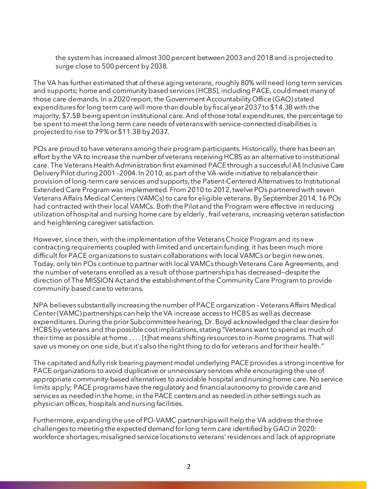the system has increased almost 300 percent between 2003 and 2018 and is projected to surge close to 500 percent by 2038.

The VA has further estimated that of these aging veterans, roughly 80% will need long term services and supports; home and community based services (HCBS), including PACE, could meet many of those care demands. In a 2020 report, the Government Accountability Office (GAO) stated expenditures for long term care will more than double by fiscal year 2037 to \$14.3B with the majority, \$7.5B being spent on institutional care. And of those total expenditures, the percentage to be spent to meet the long term care needs of veterans with service-connected disabilities is projected to rise to 79% or \$11.3B by 2037.

POs are proud to have veterans among their program participants. Historically, there has been an effort by the VA to increase the number of veterans receiving HCBS as an alternative to institutional care. The Veterans Health Administration first examined PACE through a successful All Inclusive Care Delivery Pilot during 2001 –2004. In 2010, as part of the VA-wide initiative to rebalance their provision of long-term care services and supports, the Patient-Centered Alternatives to Institutional Extended Care Program was implemented. From 2010 to 2012, twelve POs partnered with seven Veterans Affairs Medical Centers (VAMCs) to care for eligible veterans. By September 2014, 16 POs had contracted with their local VAMCs. Both the Pilot and the Program were effective in reducing utilizationof hospital and nursing home care by elderly , frail veterans, increasing veteran satisfaction and heightening caregiver satisfaction.

However, since then, with the implementation of the Veterans Choice Program and its new contracting requirements coupled with limited and uncertain funding, it has been much more difficult for PACE organizations to sustain collaborations with local VAMCs or begin new ones. Today, only ten POs continue to partner with local VAMCs though Veterans Care Agreements, and the number of veterans enrolled as a result of those partnerships has decreased—despite the direction of The MISSION Act and the establishment of the Community Care Program to provide community-based care to veterans.

NPA believes substantially increasing the number of PACE organization – Veterans Affairs Medical Center (VAMC) partnerships can help the VA increase access to HCBS as well as decrease expenditures. During the prior Subcommittee hearing, Dr. Boyd acknowledged the clear desire for HCBS by veterans and the possible cost implications, stating "Veterans want to spend as much of their time as possible at home . . . . [t]hat means shifting resources to in-home programs. That will save us money on one side, but it's also the right thing to do for veterans and for their health."

The capitated and fully risk bearing payment model underlying PACE provides a strong incentive for PACE organizations to avoid duplicative or unnecessary services while encouraging the use of appropriate community-based alternatives to avoidable hospital and nursing home care. No service limits apply; PACE programs have the regulatory and financial autonomy to provide care and services as needed in the home, in the PACE centers and as needed in other settings such as physician offices, hospitals and nursing facilities.

Furthermore, expanding the use of PO-VAMC partnerships will help the VA address the three challenges to meeting the expected demand for long term care identified by GAO in 2020: workforce shortages, misaligned service locations to veterans' residences and lack of appropriate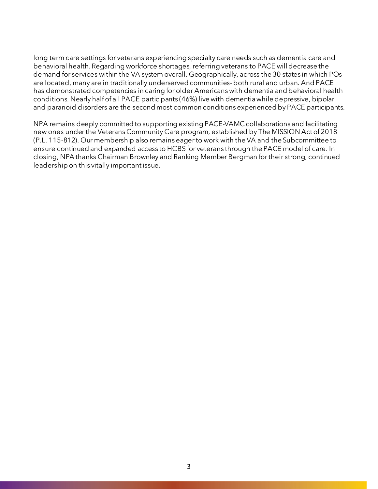long term care settings for veterans experiencing specialty care needs such as dementia care and behavioral health. Regarding workforce shortages, referring veterans to PACE will decrease the demand for services within the VA system overall. Geographically, across the 30 states in which POs are located, many are in traditionally underserved communities-both rural and urban. And PACE has demonstrated competencies in caring for older Americans with dementia and behavioral health conditions. Nearly half of all PACE participants (46%) live with dementia while depressive, bipolar and paranoid disorders are the second most common conditions experienced by PACE participants.

NPA remains deeply committed to supporting existing PACE-VAMC collaborations and facilitating new ones under the Veterans Community Care program, established by The MISSION Act of 2018 (P.L. 115-812). Our membership also remains eager to work with the VA and the Subcommittee to ensure continued and expanded access to HCBS for veterans through the PACE model of care. In closing, NPA thanks Chairman Brownley and Ranking Member Bergman for their strong, continued leadership on this vitally important issue.